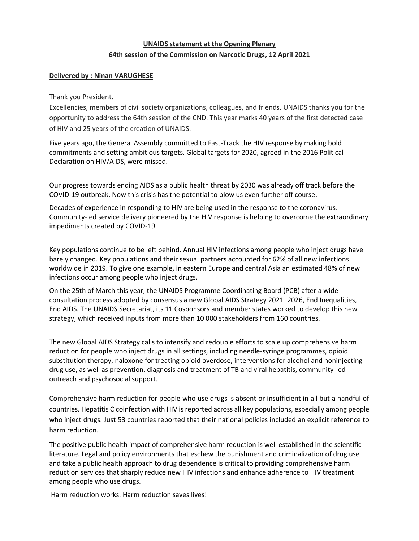## **UNAIDS statement at the Opening Plenary 64th session of the Commission on Narcotic Drugs, 12 April 2021**

## **Delivered by : Ninan VARUGHESE**

## Thank you President.

Excellencies, members of civil society organizations, colleagues, and friends. UNAIDS thanks you for the opportunity to address the 64th session of the CND. This year marks 40 years of the first detected case of HIV and 25 years of the creation of UNAIDS.

Five years ago, the General Assembly committed to Fast-Track the HIV response by making bold commitments and setting ambitious targets. Global targets for 2020, agreed in the 2016 Political Declaration on HIV/AIDS, were missed.

Our progress towards ending AIDS as a public health threat by 2030 was already off track before the COVID-19 outbreak. Now this crisis has the potential to blow us even further off course.

Decades of experience in responding to HIV are being used in the response to the coronavirus. Community-led service delivery pioneered by the HIV response is helping to overcome the extraordinary impediments created by COVID-19.

Key populations continue to be left behind. Annual HIV infections among people who inject drugs have barely changed. Key populations and their sexual partners accounted for 62% of all new infections worldwide in 2019. To give one example, in eastern Europe and central Asia an estimated 48% of new infections occur among people who inject drugs.

On the 25th of March this year, the UNAIDS Programme Coordinating Board (PCB) after a wide consultation process adopted by consensus a new Global AIDS Strategy 2021–2026, End Inequalities, End AIDS. The UNAIDS Secretariat, its 11 Cosponsors and member states worked to develop this new strategy, which received inputs from more than 10 000 stakeholders from 160 countries.

The new Global AIDS Strategy calls to intensify and redouble efforts to scale up comprehensive harm reduction for people who inject drugs in all settings, including needle-syringe programmes, opioid substitution therapy, naloxone for treating opioid overdose, interventions for alcohol and noninjecting drug use, as well as prevention, diagnosis and treatment of TB and viral hepatitis, community-led outreach and psychosocial support.

Comprehensive harm reduction for people who use drugs is absent or insufficient in all but a handful of countries. Hepatitis C coinfection with HIV is reported across all key populations, especially among people who inject drugs. Just 53 countries reported that their national policies included an explicit reference to harm reduction.

The positive public health impact of comprehensive harm reduction is well established in the scientific literature. Legal and policy environments that eschew the punishment and criminalization of drug use and take a public health approach to drug dependence is critical to providing comprehensive harm reduction services that sharply reduce new HIV infections and enhance adherence to HIV treatment among people who use drugs.

Harm reduction works. Harm reduction saves lives!